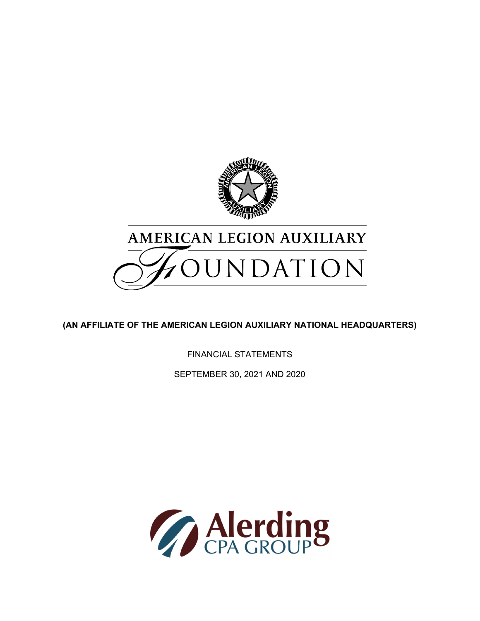

**(AN AFFILIATE OF THE AMERICAN LEGION AUXILIARY NATIONAL HEADQUARTERS)** 

FINANCIAL STATEMENTS

SEPTEMBER 30, 2021 AND 2020

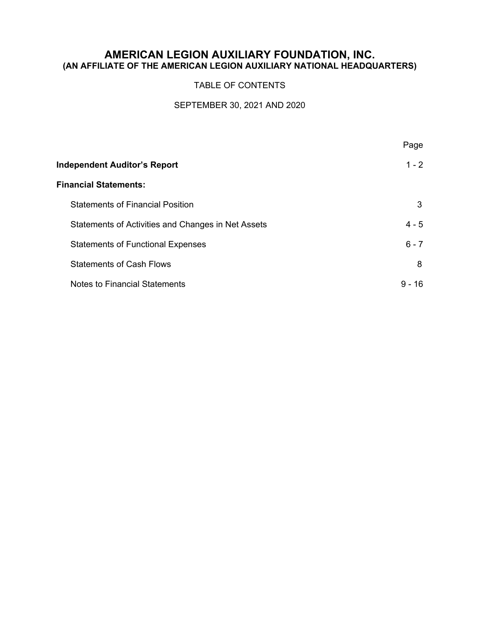## TABLE OF CONTENTS

# SEPTEMBER 30, 2021 AND 2020

|                                                    | Page     |
|----------------------------------------------------|----------|
| <b>Independent Auditor's Report</b>                | $1 - 2$  |
| Financial Statements:                              |          |
| <b>Statements of Financial Position</b>            | 3        |
| Statements of Activities and Changes in Net Assets | $4 - 5$  |
| <b>Statements of Functional Expenses</b>           | $6 - 7$  |
| <b>Statements of Cash Flows</b>                    | 8        |
| <b>Notes to Financial Statements</b>               | $9 - 16$ |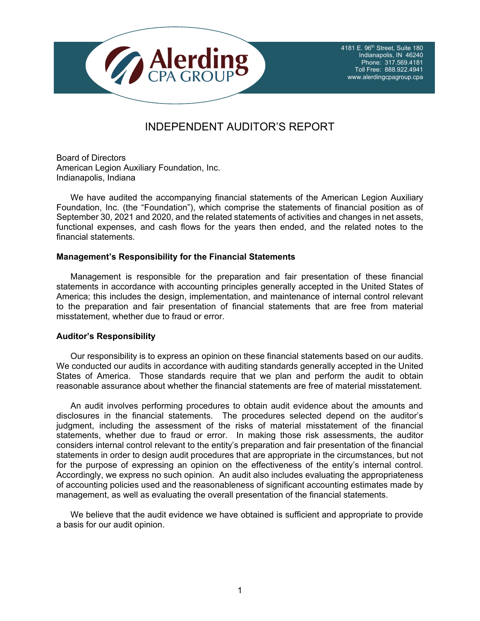

# INDEPENDENT AUDITOR'S REPORT

Board of Directors American Legion Auxiliary Foundation, Inc. Indianapolis, Indiana

We have audited the accompanying financial statements of the American Legion Auxiliary Foundation, Inc. (the "Foundation"), which comprise the statements of financial position as of September 30, 2021 and 2020, and the related statements of activities and changes in net assets, functional expenses, and cash flows for the years then ended, and the related notes to the financial statements.

### **Management's Responsibility for the Financial Statements**

Management is responsible for the preparation and fair presentation of these financial statements in accordance with accounting principles generally accepted in the United States of America; this includes the design, implementation, and maintenance of internal control relevant to the preparation and fair presentation of financial statements that are free from material misstatement, whether due to fraud or error.

### **Auditor's Responsibility**

Our responsibility is to express an opinion on these financial statements based on our audits. We conducted our audits in accordance with auditing standards generally accepted in the United States of America. Those standards require that we plan and perform the audit to obtain reasonable assurance about whether the financial statements are free of material misstatement.

An audit involves performing procedures to obtain audit evidence about the amounts and disclosures in the financial statements. The procedures selected depend on the auditor's judgment, including the assessment of the risks of material misstatement of the financial statements, whether due to fraud or error. In making those risk assessments, the auditor considers internal control relevant to the entity's preparation and fair presentation of the financial statements in order to design audit procedures that are appropriate in the circumstances, but not for the purpose of expressing an opinion on the effectiveness of the entity's internal control. Accordingly, we express no such opinion. An audit also includes evaluating the appropriateness of accounting policies used and the reasonableness of significant accounting estimates made by management, as well as evaluating the overall presentation of the financial statements.

We believe that the audit evidence we have obtained is sufficient and appropriate to provide a basis for our audit opinion.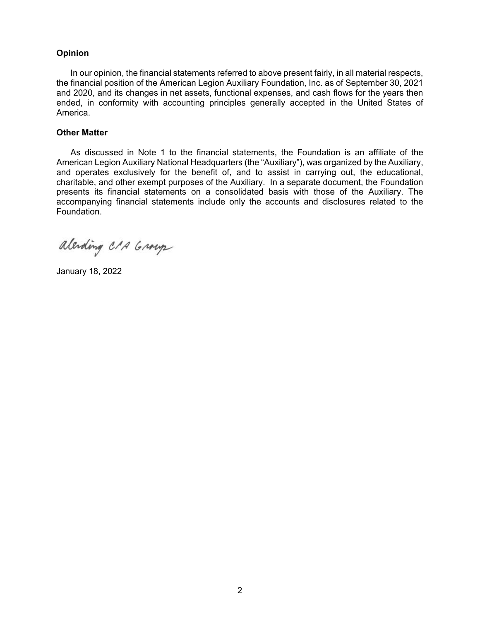## **Opinion**

In our opinion, the financial statements referred to above present fairly, in all material respects, the financial position of the American Legion Auxiliary Foundation, Inc. as of September 30, 2021 and 2020, and its changes in net assets, functional expenses, and cash flows for the years then ended, in conformity with accounting principles generally accepted in the United States of America.

#### **Other Matter**

As discussed in Note 1 to the financial statements, the Foundation is an affiliate of the American Legion Auxiliary National Headquarters (the "Auxiliary"), was organized by the Auxiliary, and operates exclusively for the benefit of, and to assist in carrying out, the educational, charitable, and other exempt purposes of the Auxiliary. In a separate document, the Foundation presents its financial statements on a consolidated basis with those of the Auxiliary. The accompanying financial statements include only the accounts and disclosures related to the Foundation.

alending CMA Group

January 18, 2022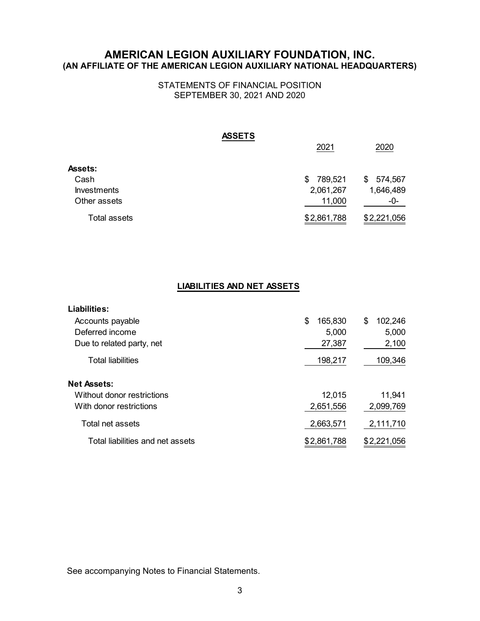## STATEMENTS OF FINANCIAL POSITION SEPTEMBER 30, 2021 AND 2020

|                     | <b>ASSETS</b> | 2021          | 2020          |
|---------------------|---------------|---------------|---------------|
| <b>Assets:</b>      |               |               |               |
| Cash                |               | 789,521<br>\$ | 574,567<br>\$ |
| <b>Investments</b>  |               | 2,061,267     | 1,646,489     |
| Other assets        |               | 11,000        | -0-           |
| <b>Total assets</b> |               | \$2,861,788   | \$2,221,056   |

### **LIABILITIES AND NET ASSETS**

| Liabilities:                     |               |               |
|----------------------------------|---------------|---------------|
| Accounts payable                 | 165,830<br>\$ | 102,246<br>\$ |
| Deferred income                  | 5,000         | 5,000         |
| Due to related party, net        | 27,387        | 2,100         |
| <b>Total liabilities</b>         | 198,217       | 109,346       |
| <b>Net Assets:</b>               |               |               |
| Without donor restrictions       | 12,015        | 11,941        |
| With donor restrictions          | 2,651,556     | 2,099,769     |
| Total net assets                 | 2,663,571     | 2,111,710     |
| Total liabilities and net assets | \$2,861,788   | \$2,221,056   |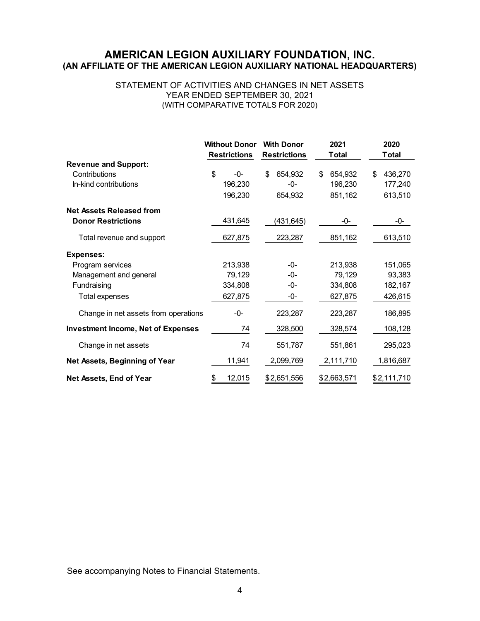### STATEMENT OF ACTIVITIES AND CHANGES IN NET ASSETS YEAR ENDED SEPTEMBER 30, 2021 (WITH COMPARATIVE TOTALS FOR 2020)

|                                           | <b>Without Donor</b><br><b>Restrictions</b> | <b>With Donor</b><br><b>Restrictions</b> | 2021<br>Total | 2020<br>Total |
|-------------------------------------------|---------------------------------------------|------------------------------------------|---------------|---------------|
| <b>Revenue and Support:</b>               |                                             |                                          |               |               |
| Contributions                             | \$<br>$-0-$                                 | \$<br>654,932                            | 654,932<br>\$ | \$<br>436,270 |
| In-kind contributions                     | 196,230                                     | -0-                                      | 196,230       | 177,240       |
|                                           | 196,230                                     | 654,932                                  | 851,162       | 613,510       |
| <b>Net Assets Released from</b>           |                                             |                                          |               |               |
| <b>Donor Restrictions</b>                 | 431,645                                     | (431, 645)                               | -0-           | -0-           |
| Total revenue and support                 | 627,875                                     | 223,287                                  | 851,162       | 613,510       |
| <b>Expenses:</b>                          |                                             |                                          |               |               |
| Program services                          | 213,938                                     | -0-                                      | 213,938       | 151,065       |
| Management and general                    | 79,129                                      | -0-                                      | 79,129        | 93,383        |
| Fundraising                               | 334,808                                     | -0-                                      | 334,808       | 182,167       |
| Total expenses                            | 627,875                                     | -0-                                      | 627,875       | 426,615       |
| Change in net assets from operations      | -0-                                         | 223,287                                  | 223,287       | 186,895       |
| <b>Investment Income, Net of Expenses</b> | 74                                          | 328,500                                  | 328,574       | 108,128       |
| Change in net assets                      | 74                                          | 551,787                                  | 551,861       | 295,023       |
| Net Assets, Beginning of Year             | 11,941                                      | 2,099,769                                | 2,111,710     | 1,816,687     |
| Net Assets, End of Year                   | 12,015<br>\$                                | \$2,651,556                              | \$2,663,571   | \$2,111,710   |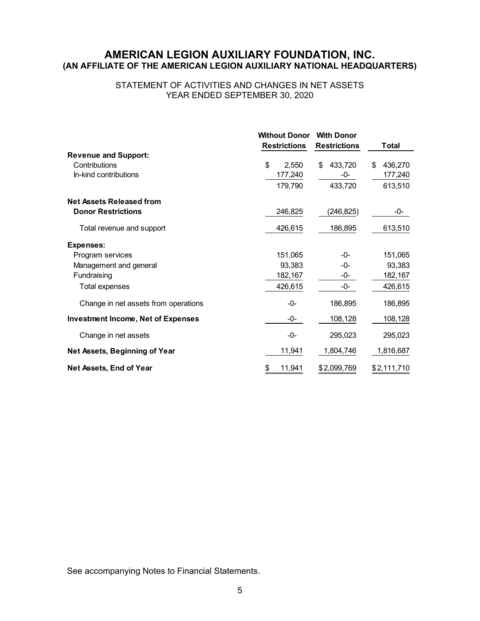## STATEMENT OF ACTIVITIES AND CHANGES IN NET ASSETS YEAR ENDED SEPTEMBER 30, 2020

|                                           | <b>Without Donor</b><br><b>Restrictions</b> | <b>With Donor</b><br><b>Restrictions</b> | Total         |
|-------------------------------------------|---------------------------------------------|------------------------------------------|---------------|
| <b>Revenue and Support:</b>               |                                             |                                          |               |
| Contributions                             | \$<br>2,550                                 | \$<br>433,720                            | \$<br>436,270 |
| In-kind contributions                     | 177,240                                     | -0-                                      | 177,240       |
|                                           | 179,790                                     | 433,720                                  | 613,510       |
| <b>Net Assets Released from</b>           |                                             |                                          |               |
| <b>Donor Restrictions</b>                 | 246,825                                     | (246,825)                                | -0-           |
| Total revenue and support                 | 426,615                                     | 186,895                                  | 613,510       |
| <b>Expenses:</b>                          |                                             |                                          |               |
| Program services                          | 151,065                                     | -0-                                      | 151,065       |
| Management and general                    | 93,383                                      | -0-                                      | 93,383        |
| Fundraising                               | 182,167                                     | -0-                                      | 182,167       |
| <b>Total expenses</b>                     | 426,615                                     | -0-                                      | 426,615       |
| Change in net assets from operations      | $-0-$                                       | 186,895                                  | 186,895       |
| <b>Investment Income, Net of Expenses</b> | -0-                                         | 108,128                                  | 108,128       |
| Change in net assets                      | -0-                                         | 295,023                                  | 295,023       |
| Net Assets, Beginning of Year             | 11,941                                      | 1,804,746                                | 1,816,687     |
| Net Assets, End of Year                   | 11,941<br>\$                                | \$2,099,769                              | \$2,111,710   |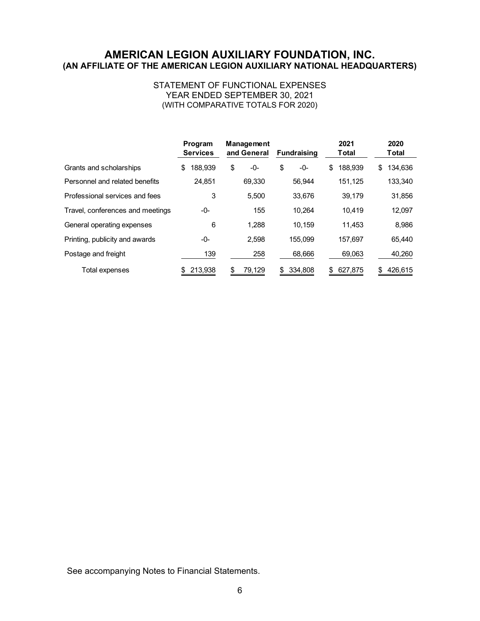### STATEMENT OF FUNCTIONAL EXPENSES YEAR ENDED SEPTEMBER 30, 2021 (WITH COMPARATIVE TOTALS FOR 2020)

|                                  | Program<br><b>Services</b> | Management<br>and General | <b>Fundraising</b> | 2021<br><b>Total</b> | 2020<br><b>Total</b> |
|----------------------------------|----------------------------|---------------------------|--------------------|----------------------|----------------------|
| Grants and scholarships          | 188.939<br>\$              | \$<br>-0-                 | \$<br>-0-          | 188.939<br>\$        | 134,636<br>\$        |
| Personnel and related benefits   | 24.851                     | 69,330                    | 56.944             | 151,125              | 133,340              |
| Professional services and fees   | 3                          | 5,500                     | 33.676             | 39,179               | 31,856               |
| Travel, conferences and meetings | -0-                        | 155                       | 10.264             | 10.419               | 12,097               |
| General operating expenses       | 6                          | 1,288                     | 10.159             | 11,453               | 8,986                |
| Printing, publicity and awards   | -0-                        | 2,598                     | 155.099            | 157,697              | 65,440               |
| Postage and freight              | 139                        | 258                       | 68,666             | 69,063               | 40,260               |
| Total expenses                   | 213.938<br>\$              | 79,129<br>\$              | 334,808<br>\$      | 627,875<br>\$        | 426,615<br>S         |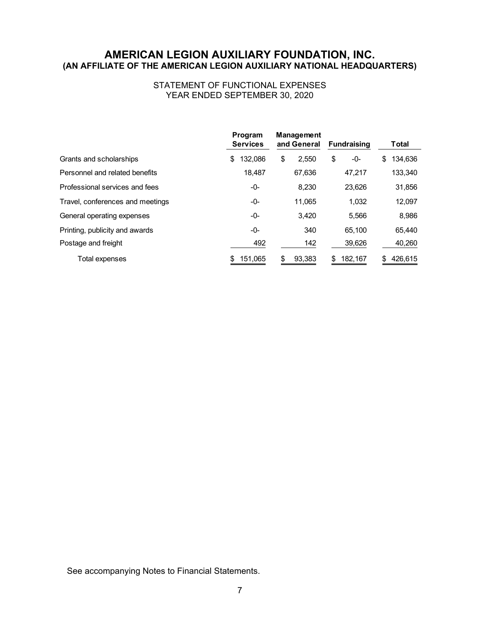## STATEMENT OF FUNCTIONAL EXPENSES YEAR ENDED SEPTEMBER 30, 2020

|                                  | Program<br><b>Services</b> | Management<br>and General | <b>Fundraising</b> | Total         |
|----------------------------------|----------------------------|---------------------------|--------------------|---------------|
| Grants and scholarships          | 132,086<br>\$              | \$<br>2.550               | \$<br>-0-          | 134,636<br>\$ |
| Personnel and related benefits   | 18,487                     | 67,636                    | 47,217             | 133,340       |
| Professional services and fees   | -0-                        | 8,230                     | 23,626             | 31,856        |
| Travel, conferences and meetings | -0-                        | 11.065                    | 1,032              | 12,097        |
| General operating expenses       | -0-                        | 3,420                     | 5,566              | 8,986         |
| Printing, publicity and awards   | -0-                        | 340                       | 65.100             | 65,440        |
| Postage and freight              | 492                        | 142                       | 39,626             | 40,260        |
| Total expenses                   | 151,065                    | 93,383                    | 182,167<br>S       | 426,615<br>S  |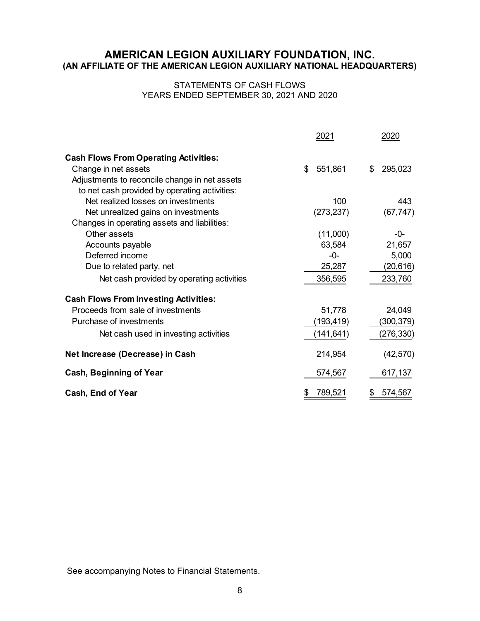## STATEMENTS OF CASH FLOWS YEARS ENDED SEPTEMBER 30, 2021 AND 2020

|                                               | 2021          | 2020          |
|-----------------------------------------------|---------------|---------------|
| <b>Cash Flows From Operating Activities:</b>  |               |               |
| Change in net assets                          | \$<br>551,861 | \$<br>295,023 |
| Adjustments to reconcile change in net assets |               |               |
| to net cash provided by operating activities: |               |               |
| Net realized losses on investments            | 100           | 443           |
| Net unrealized gains on investments           | (273, 237)    | (67, 747)     |
| Changes in operating assets and liabilities:  |               |               |
| Other assets                                  | (11,000)      | -0-           |
| Accounts payable                              | 63,584        | 21,657        |
| Deferred income                               | -0-           | 5,000         |
| Due to related party, net                     | 25,287        | (20,616)      |
| Net cash provided by operating activities     | 356,595       | 233,760       |
| <b>Cash Flows From Investing Activities:</b>  |               |               |
| Proceeds from sale of investments             | 51,778        | 24,049        |
| Purchase of investments                       | (193,419)     | (300, 379)    |
| Net cash used in investing activities         | (141, 641)    | (276, 330)    |
| Net Increase (Decrease) in Cash               | 214,954       | (42, 570)     |
| <b>Cash, Beginning of Year</b>                | 574,567       | 617,137       |
| <b>Cash, End of Year</b>                      | 789,521<br>\$ | 574,567<br>\$ |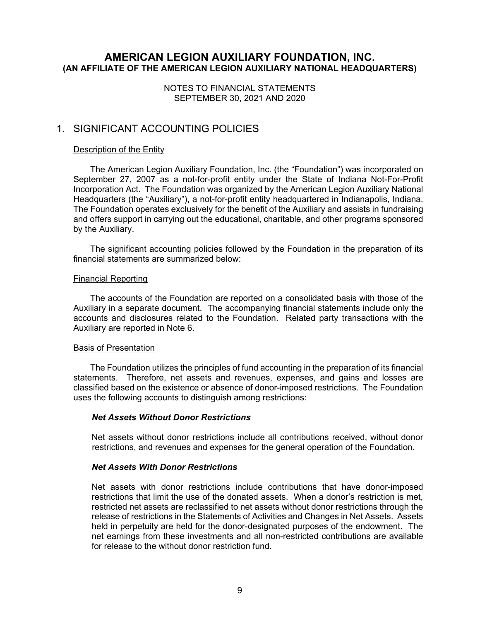## NOTES TO FINANCIAL STATEMENTS SEPTEMBER 30, 2021 AND 2020

# 1. SIGNIFICANT ACCOUNTING POLICIES

### **Description of the Entity**

The American Legion Auxiliary Foundation, Inc. (the "Foundation") was incorporated on September 27, 2007 as a not-for-profit entity under the State of Indiana Not-For-Profit Incorporation Act. The Foundation was organized by the American Legion Auxiliary National Headquarters (the "Auxiliary"), a not-for-profit entity headquartered in Indianapolis, Indiana. The Foundation operates exclusively for the benefit of the Auxiliary and assists in fundraising and offers support in carrying out the educational, charitable, and other programs sponsored by the Auxiliary.

The significant accounting policies followed by the Foundation in the preparation of its financial statements are summarized below:

#### Financial Reporting

The accounts of the Foundation are reported on a consolidated basis with those of the Auxiliary in a separate document. The accompanying financial statements include only the accounts and disclosures related to the Foundation. Related party transactions with the Auxiliary are reported in Note 6.

### Basis of Presentation

The Foundation utilizes the principles of fund accounting in the preparation of its financial statements. Therefore, net assets and revenues, expenses, and gains and losses are classified based on the existence or absence of donor-imposed restrictions. The Foundation uses the following accounts to distinguish among restrictions:

### *Net Assets Without Donor Restrictions*

Net assets without donor restrictions include all contributions received, without donor restrictions, and revenues and expenses for the general operation of the Foundation.

## *Net Assets With Donor Restrictions*

Net assets with donor restrictions include contributions that have donor-imposed restrictions that limit the use of the donated assets. When a donor's restriction is met, restricted net assets are reclassified to net assets without donor restrictions through the release of restrictions in the Statements of Activities and Changes in Net Assets. Assets held in perpetuity are held for the donor-designated purposes of the endowment. The net earnings from these investments and all non-restricted contributions are available for release to the without donor restriction fund.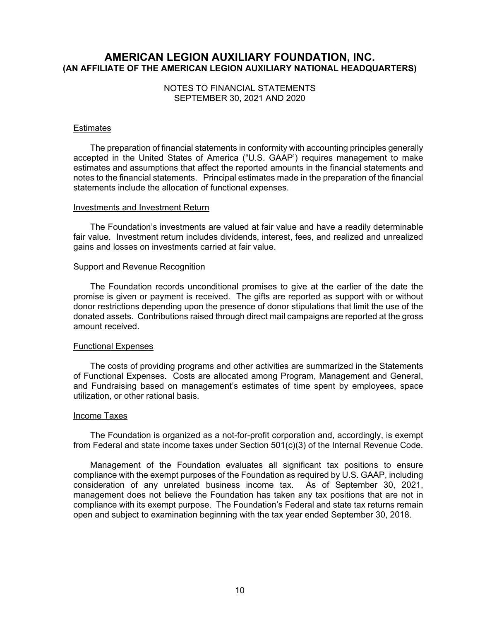### NOTES TO FINANCIAL STATEMENTS SEPTEMBER 30, 2021 AND 2020

#### **Estimates**

The preparation of financial statements in conformity with accounting principles generally accepted in the United States of America ("U.S. GAAP') requires management to make estimates and assumptions that affect the reported amounts in the financial statements and notes to the financial statements. Principal estimates made in the preparation of the financial statements include the allocation of functional expenses.

#### Investments and Investment Return

The Foundation's investments are valued at fair value and have a readily determinable fair value. Investment return includes dividends, interest, fees, and realized and unrealized gains and losses on investments carried at fair value.

#### **Support and Revenue Recognition**

The Foundation records unconditional promises to give at the earlier of the date the promise is given or payment is received. The gifts are reported as support with or without donor restrictions depending upon the presence of donor stipulations that limit the use of the donated assets. Contributions raised through direct mail campaigns are reported at the gross amount received.

### Functional Expenses

The costs of providing programs and other activities are summarized in the Statements of Functional Expenses. Costs are allocated among Program, Management and General, and Fundraising based on management's estimates of time spent by employees, space utilization, or other rational basis.

#### Income Taxes

The Foundation is organized as a not-for-profit corporation and, accordingly, is exempt from Federal and state income taxes under Section 501(c)(3) of the Internal Revenue Code.

Management of the Foundation evaluates all significant tax positions to ensure compliance with the exempt purposes of the Foundation as required by U.S. GAAP, including consideration of any unrelated business income tax. As of September 30, 2021, management does not believe the Foundation has taken any tax positions that are not in compliance with its exempt purpose. The Foundation's Federal and state tax returns remain open and subject to examination beginning with the tax year ended September 30, 2018.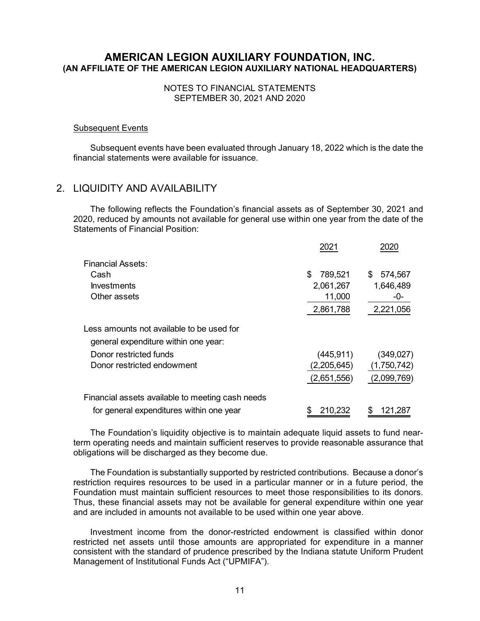### NOTES TO FINANCIAL STATEMENTS SEPTEMBER 30, 2021 AND 2020

### **Subsequent Events**

Subsequent events have been evaluated through January 18, 2022 which is the date the financial statements were available for issuance.

## 2. LIQUIDITY AND AVAILABILITY

The following reflects the Foundation's financial assets as of September 30, 2021 and 2020, reduced by amounts not available for general use within one year from the date of the Statements of Financial Position:

|                                                  | 2021          | 2020           |
|--------------------------------------------------|---------------|----------------|
| <b>Financial Assets:</b>                         |               |                |
| Cash                                             | 789,521<br>S  | \$.<br>574,567 |
| <b>Investments</b>                               | 2,061,267     | 1,646,489      |
| Other assets                                     | 11,000        | -0-            |
|                                                  | 2,861,788     | 2,221,056      |
| Less amounts not available to be used for        |               |                |
| general expenditure within one year:             |               |                |
| Donor restricted funds                           | (445, 911)    | (349, 027)     |
| Donor restricted endowment                       | (2,205,645)   | (1,750,742)    |
|                                                  | (2,651,556)   | (2,099,769)    |
| Financial assets available to meeting cash needs |               |                |
| for general expenditures within one year         | 210,232<br>\$ | \$<br>121,287  |

The Foundation's liquidity objective is to maintain adequate liquid assets to fund nearterm operating needs and maintain sufficient reserves to provide reasonable assurance that obligations will be discharged as they become due.

The Foundation is substantially supported by restricted contributions. Because a donor's restriction requires resources to be used in a particular manner or in a future period, the Foundation must maintain sufficient resources to meet those responsibilities to its donors. Thus, these financial assets may not be available for general expenditure within one year and are included in amounts not available to be used within one year above.

Investment income from the donor-restricted endowment is classified within donor restricted net assets until those amounts are appropriated for expenditure in a manner consistent with the standard of prudence prescribed by the Indiana statute Uniform Prudent Management of Institutional Funds Act ("UPMIFA").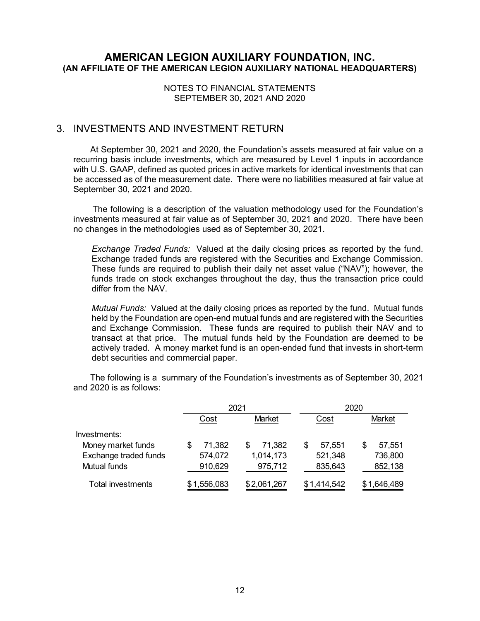## NOTES TO FINANCIAL STATEMENTS SEPTEMBER 30, 2021 AND 2020

## 3. INVESTMENTS AND INVESTMENT RETURN

At September 30, 2021 and 2020, the Foundation's assets measured at fair value on a recurring basis include investments, which are measured by Level 1 inputs in accordance with U.S. GAAP, defined as quoted prices in active markets for identical investments that can be accessed as of the measurement date. There were no liabilities measured at fair value at September 30, 2021 and 2020.

 The following is a description of the valuation methodology used for the Foundation's investments measured at fair value as of September 30, 2021 and 2020. There have been no changes in the methodologies used as of September 30, 2021.

*Exchange Traded Funds:* Valued at the daily closing prices as reported by the fund. Exchange traded funds are registered with the Securities and Exchange Commission. These funds are required to publish their daily net asset value ("NAV"); however, the funds trade on stock exchanges throughout the day, thus the transaction price could differ from the NAV.

*Mutual Funds:* Valued at the daily closing prices as reported by the fund. Mutual funds held by the Foundation are open-end mutual funds and are registered with the Securities and Exchange Commission. These funds are required to publish their NAV and to transact at that price. The mutual funds held by the Foundation are deemed to be actively traded. A money market fund is an open-ended fund that invests in short-term debt securities and commercial paper.

The following is a summary of the Foundation's investments as of September 30, 2021 and 2020 is as follows:

|                          | 2021        |             |             | 2020        |
|--------------------------|-------------|-------------|-------------|-------------|
|                          | Cost        | Market      | Cost        | Market      |
| Investments:             |             |             |             |             |
| Money market funds       | 71,382      | 71,382<br>S | 57,551<br>S | 57,551      |
| Exchange traded funds    | 574,072     | 1,014,173   | 521,348     | 736,800     |
| <b>Mutual funds</b>      | 910,629     | 975,712     | 835,643     | 852,138     |
| <b>Total investments</b> | \$1,556,083 | \$2,061,267 | \$1,414,542 | \$1,646,489 |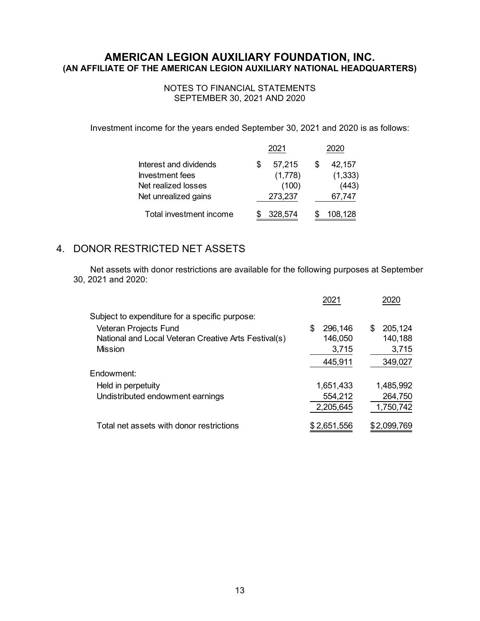## NOTES TO FINANCIAL STATEMENTS SEPTEMBER 30, 2021 AND 2020

Investment income for the years ended September 30, 2021 and 2020 is as follows:

|                         |   | 2021    |   | 2020     |
|-------------------------|---|---------|---|----------|
| Interest and dividends  | S | 57,215  | S | 42,157   |
| Investment fees         |   | (1,778) |   | (1, 333) |
| Net realized losses     |   | (100)   |   | (443)    |
| Net unrealized gains    |   | 273,237 |   | 67,747   |
| Total investment income |   | 328,574 |   | 108,128  |

# 4. DONOR RESTRICTED NET ASSETS

Net assets with donor restrictions are available for the following purposes at September 30, 2021 and 2020:

|                                                      | 2021          | 2020         |
|------------------------------------------------------|---------------|--------------|
| Subject to expenditure for a specific purpose:       |               |              |
| Veteran Projects Fund                                | 296,146<br>\$ | 205,124<br>S |
| National and Local Veteran Creative Arts Festival(s) | 146,050       | 140,188      |
| Mission                                              | 3,715         | 3,715        |
|                                                      | 445,911       | 349,027      |
| Endowment:                                           |               |              |
| Held in perpetuity                                   | 1,651,433     | 1,485,992    |
| Undistributed endowment earnings                     | 554,212       | 264,750      |
|                                                      | 2,205,645     | 1,750,742    |
| Total net assets with donor restrictions             | \$2,651,556   | \$2,099,769  |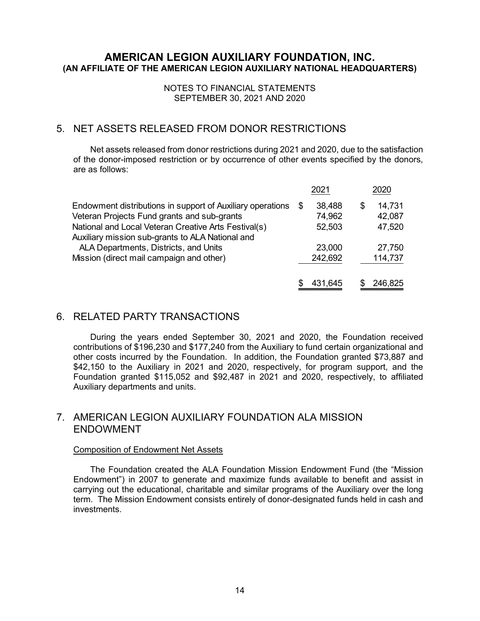### NOTES TO FINANCIAL STATEMENTS SEPTEMBER 30, 2021 AND 2020

# 5. NET ASSETS RELEASED FROM DONOR RESTRICTIONS

Net assets released from donor restrictions during 2021 and 2020, due to the satisfaction of the donor-imposed restriction or by occurrence of other events specified by the donors, are as follows:

|                                                                                                           |   | 2021             |     | 2020             |
|-----------------------------------------------------------------------------------------------------------|---|------------------|-----|------------------|
| Endowment distributions in support of Auxiliary operations<br>Veteran Projects Fund grants and sub-grants | S | 38,488<br>74,962 | \$. | 14,731<br>42,087 |
| National and Local Veteran Creative Arts Festival(s)                                                      |   | 52,503           |     | 47,520           |
| Auxiliary mission sub-grants to ALA National and<br>ALA Departments, Districts, and Units                 |   | 23,000           |     | 27,750           |
| Mission (direct mail campaign and other)                                                                  |   | 242,692          |     | 114,737          |
|                                                                                                           |   | 431.645          |     | 246,825          |

# 6. RELATED PARTY TRANSACTIONS

During the years ended September 30, 2021 and 2020, the Foundation received contributions of \$196,230 and \$177,240 from the Auxiliary to fund certain organizational and other costs incurred by the Foundation. In addition, the Foundation granted \$73,887 and \$42,150 to the Auxiliary in 2021 and 2020, respectively, for program support, and the Foundation granted \$115,052 and \$92,487 in 2021 and 2020, respectively, to affiliated Auxiliary departments and units.

# 7. AMERICAN LEGION AUXILIARY FOUNDATION ALA MISSION ENDOWMENT

### Composition of Endowment Net Assets

The Foundation created the ALA Foundation Mission Endowment Fund (the "Mission Endowment") in 2007 to generate and maximize funds available to benefit and assist in carrying out the educational, charitable and similar programs of the Auxiliary over the long term. The Mission Endowment consists entirely of donor-designated funds held in cash and investments.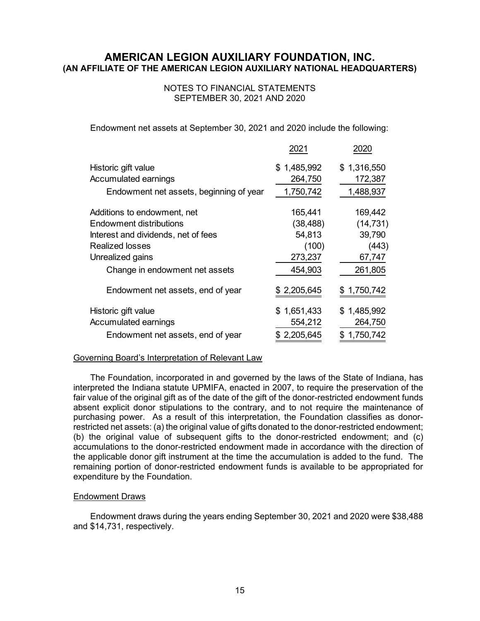## NOTES TO FINANCIAL STATEMENTS SEPTEMBER 30, 2021 AND 2020

Endowment net assets at September 30, 2021 and 2020 include the following:

|                                         | 2021        | 2020        |
|-----------------------------------------|-------------|-------------|
| Historic gift value                     | \$1,485,992 | \$1,316,550 |
| Accumulated earnings                    | 264,750     | 172,387     |
| Endowment net assets, beginning of year | 1,750,742   | 1,488,937   |
| Additions to endowment, net             | 165,441     | 169,442     |
| Endowment distributions                 | (38, 488)   | (14, 731)   |
| Interest and dividends, net of fees     | 54,813      | 39,790      |
| <b>Realized losses</b>                  | (100)       | (443)       |
| Unrealized gains                        | 273,237     | 67,747      |
| Change in endowment net assets          | 454,903     | 261,805     |
| Endowment net assets, end of year       | \$2,205,645 | \$1,750,742 |
| Historic gift value                     | \$1,651,433 | \$1,485,992 |
| Accumulated earnings                    | 554,212     | 264,750     |
| Endowment net assets, end of year       | \$2,205,645 | \$1,750,742 |

#### Governing Board's Interpretation of Relevant Law

The Foundation, incorporated in and governed by the laws of the State of Indiana, has interpreted the Indiana statute UPMIFA, enacted in 2007, to require the preservation of the fair value of the original gift as of the date of the gift of the donor-restricted endowment funds absent explicit donor stipulations to the contrary, and to not require the maintenance of purchasing power. As a result of this interpretation, the Foundation classifies as donorrestricted net assets: (a) the original value of gifts donated to the donor-restricted endowment; (b) the original value of subsequent gifts to the donor-restricted endowment; and (c) accumulations to the donor-restricted endowment made in accordance with the direction of the applicable donor gift instrument at the time the accumulation is added to the fund. The remaining portion of donor-restricted endowment funds is available to be appropriated for expenditure by the Foundation.

#### Endowment Draws

Endowment draws during the years ending September 30, 2021 and 2020 were \$38,488 and \$14,731, respectively.